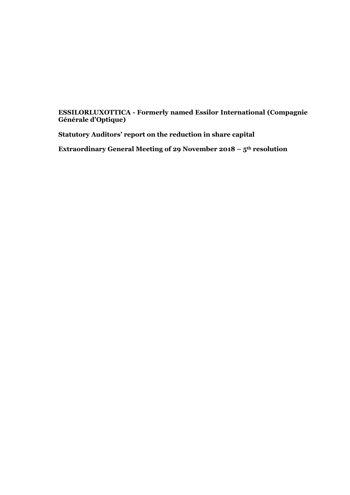### **ESSILORLUXOTTICA - Formerly named Essilor International (Compagnie Générale d'Optique)**

**Statutory Auditors' report on the reduction in share capital**

**Extraordinary General Meeting of 29 November 2018 – 5th resolution**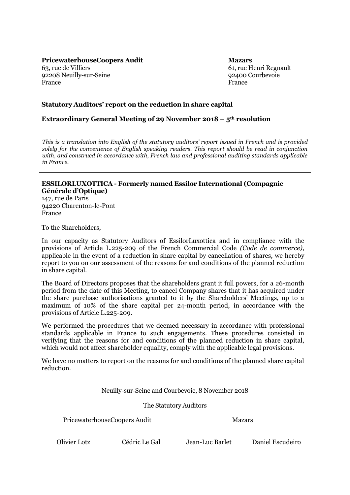**PricewaterhouseCoopers Audit Mazars**

63, rue de Villiers 92208 Neuilly-sur-Seine France

61, rue Henri Regnault 92400 Courbevoie France

### **Statutory Auditors' report on the reduction in share capital**

#### **Extraordinary General Meeting of 29 November 2018 – 5th resolution**

*This is a translation into English of the statutory auditors' report issued in French and is provided solely for the convenience of English speaking readers. This report should be read in conjunction with, and construed in accordance with, French law and professional auditing standards applicable in France.*

#### **ESSILORLUXOTTICA - Formerly named Essilor International (Compagnie Générale d'Optique)**

147, rue de Paris 94220 Charenton-le-Pont France

To the Shareholders,

In our capacity as Statutory Auditors of EssilorLuxottica and in compliance with the provisions of Article L.225-209 of the French Commercial Code *(Code de commerce)*, applicable in the event of a reduction in share capital by cancellation of shares, we hereby report to you on our assessment of the reasons for and conditions of the planned reduction in share capital.

The Board of Directors proposes that the shareholders grant it full powers, for a 26-month period from the date of this Meeting, to cancel Company shares that it has acquired under the share purchase authorisations granted to it by the Shareholders' Meetings, up to a maximum of 10% of the share capital per 24-month period, in accordance with the provisions of Article L.225-209.

We performed the procedures that we deemed necessary in accordance with professional standards applicable in France to such engagements. These procedures consisted in verifying that the reasons for and conditions of the planned reduction in share capital, which would not affect shareholder equality, comply with the applicable legal provisions.

We have no matters to report on the reasons for and conditions of the planned share capital reduction.

Neuilly-sur-Seine and Courbevoie, 8 November 2018

The Statutory Auditors

PricewaterhouseCoopers Audit Mazars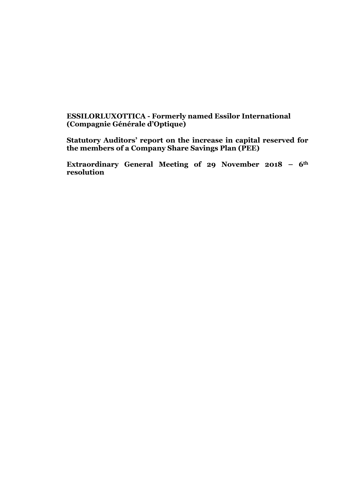# **ESSILORLUXOTTICA - Formerly named Essilor International (Compagnie Générale d'Optique)**

**Statutory Auditors' report on the increase in capital reserved for the members of a Company Share Savings Plan (PEE)**

**Extraordinary General Meeting of 29 November 2018 – 6th resolution**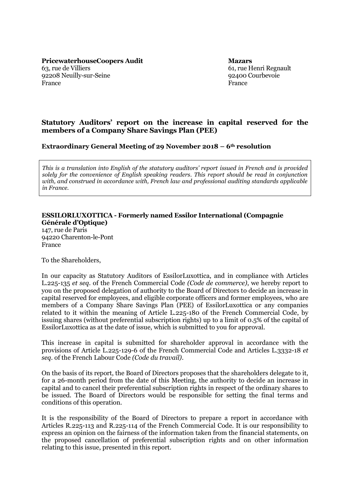61, rue Henri Regnault 92400 Courbevoie France

# **Statutory Auditors' report on the increase in capital reserved for the members of a Company Share Savings Plan (PEE)**

**Extraordinary General Meeting of 29 November 2018 – 6th resolution**

*This is a translation into English of the statutory auditors' report issued in French and is provided solely for the convenience of English speaking readers. This report should be read in conjunction with, and construed in accordance with, French law and professional auditing standards applicable in France.*

#### **ESSILORLUXOTTICA - Formerly named Essilor International (Compagnie Générale d'Optique)**

147, rue de Paris 94220 Charenton-le-Pont France

To the Shareholders,

In our capacity as Statutory Auditors of EssilorLuxottica, and in compliance with Articles L.225-135 *et seq.* of the French Commercial Code *(Code de commerce)*, we hereby report to you on the proposed delegation of authority to the Board of Directors to decide an increase in capital reserved for employees, and eligible corporate officers and former employees, who are members of a Company Share Savings Plan (PEE) of EssilorLuxottica or any companies related to it within the meaning of Article L.225-180 of the French Commercial Code, by issuing shares (without preferential subscription rights) up to a limit of 0.5% of the capital of EssilorLuxottica as at the date of issue, which is submitted to you for approval.

This increase in capital is submitted for shareholder approval in accordance with the provisions of Article L.225-129-6 of the French Commercial Code and Articles L.3332-18 *et seq.* of the French Labour Code *(Code du travail)*.

On the basis of its report, the Board of Directors proposes that the shareholders delegate to it, for a 26-month period from the date of this Meeting, the authority to decide an increase in capital and to cancel their preferential subscription rights in respect of the ordinary shares to be issued. The Board of Directors would be responsible for setting the final terms and conditions of this operation.

It is the responsibility of the Board of Directors to prepare a report in accordance with Articles R.225-113 and R.225-114 of the French Commercial Code. It is our responsibility to express an opinion on the fairness of the information taken from the financial statements, on the proposed cancellation of preferential subscription rights and on other information relating to this issue, presented in this report.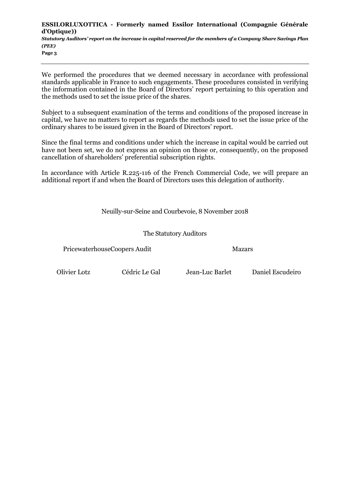**ESSILORLUXOTTICA - Formerly named Essilor International (Compagnie Générale d'Optique))** *Statutory Auditors' report on the increase in capital reserved for the members of a Company Share Savings Plan (PEE)* **Page 3**

We performed the procedures that we deemed necessary in accordance with professional standards applicable in France to such engagements. These procedures consisted in verifying the information contained in the Board of Directors' report pertaining to this operation and the methods used to set the issue price of the shares.

Subject to a subsequent examination of the terms and conditions of the proposed increase in capital, we have no matters to report as regards the methods used to set the issue price of the ordinary shares to be issued given in the Board of Directors' report.

Since the final terms and conditions under which the increase in capital would be carried out have not been set, we do not express an opinion on those or, consequently, on the proposed cancellation of shareholders' preferential subscription rights.

In accordance with Article R.225-116 of the French Commercial Code, we will prepare an additional report if and when the Board of Directors uses this delegation of authority.

Neuilly-sur-Seine and Courbevoie, 8 November 2018

The Statutory Auditors

PricewaterhouseCoopers Audit Mazars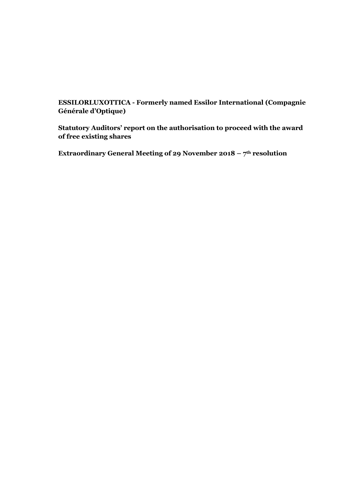**ESSILORLUXOTTICA - Formerly named Essilor International (Compagnie Générale d'Optique)**

**Statutory Auditors' report on the authorisation to proceed with the award of free existing shares**

**Extraordinary General Meeting of 29 November 2018 – 7th resolution**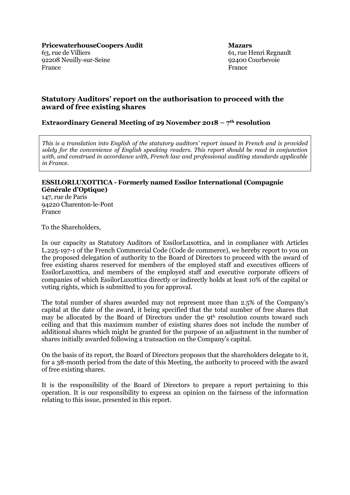61, rue Henri Regnault 92400 Courbevoie France

# **Statutory Auditors' report on the authorisation to proceed with the award of free existing shares**

### **Extraordinary General Meeting of 29 November 2018 – 7th resolution**

*This is a translation into English of the statutory auditors' report issued in French and is provided solely for the convenience of English speaking readers. This report should be read in conjunction with, and construed in accordance with, French law and professional auditing standards applicable in France.*

#### **ESSILORLUXOTTICA - Formerly named Essilor International (Compagnie Générale d'Optique)**

147, rue de Paris 94220 Charenton-le-Pont France

To the Shareholders,

In our capacity as Statutory Auditors of EssilorLuxottica, and in compliance with Articles L.225-197-1 of the French Commercial Code (Code de commerce), we hereby report to you on the proposed delegation of authority to the Board of Directors to proceed with the award of free existing shares reserved for members of the employed staff and executives officers of EssilorLuxottica, and members of the employed staff and executive corporate officers of companies of which EssilorLuxottica directly or indirectly holds at least 10% of the capital or voting rights, which is submitted to you for approval.

The total number of shares awarded may not represent more than 2.5% of the Company's capital at the date of the award, it being specified that the total number of free shares that may be allocated by the Board of Directors under the 9t<sup>h</sup> resolution counts toward such ceiling and that this maximum number of existing shares does not include the number of additional shares which might be granted for the purpose of an adjustment in the number of shares initially awarded following a transaction on the Company's capital.

On the basis of its report, the Board of Directors proposes that the shareholders delegate to it, for a 38-month period from the date of this Meeting, the authority to proceed with the award of free existing shares.

It is the responsibility of the Board of Directors to prepare a report pertaining to this operation. It is our responsibility to express an opinion on the fairness of the information relating to this issue, presented in this report.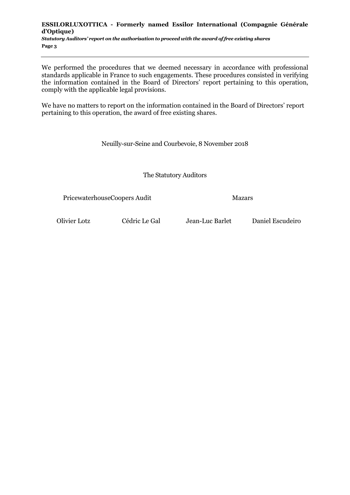#### **ESSILORLUXOTTICA - Formerly named Essilor International (Compagnie Générale d'Optique)** *Statutory Auditors' report on the authorisation to proceed with the award of free existing shares* **Page 3**

We performed the procedures that we deemed necessary in accordance with professional standards applicable in France to such engagements. These procedures consisted in verifying the information contained in the Board of Directors' report pertaining to this operation, comply with the applicable legal provisions.

We have no matters to report on the information contained in the Board of Directors' report pertaining to this operation, the award of free existing shares.

Neuilly-sur-Seine and Courbevoie, 8 November 2018

The Statutory Auditors

PricewaterhouseCoopers Audit Mazars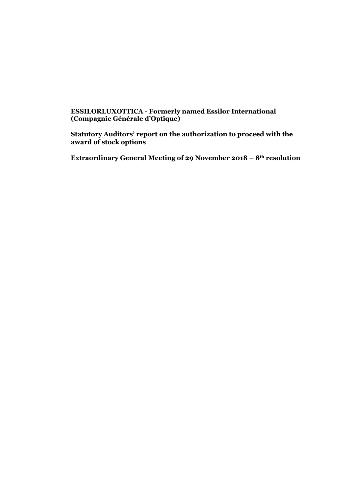### **ESSILORLUXOTTICA - Formerly named Essilor International (Compagnie Générale d'Optique)**

**Statutory Auditors' report on the authorization to proceed with the award of stock options**

**Extraordinary General Meeting of 29 November 2018 – 8th resolution**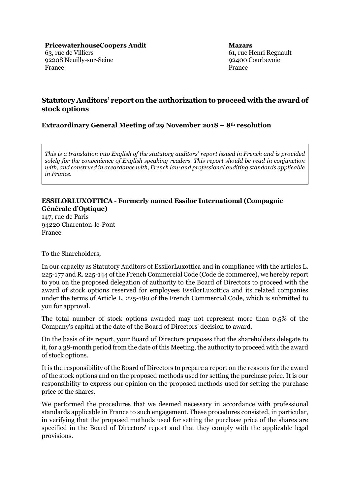61, rue Henri Regnault 92400 Courbevoie France

# **Statutory Auditors' report on the authorization to proceed with the award of stock options**

## **Extraordinary General Meeting of 29 November 2018 – 8th resolution**

*This is a translation into English of the statutory auditors' report issued in French and is provided solely for the convenience of English speaking readers. This report should be read in conjunction with, and construed in accordance with, French law and professional auditing standards applicable in France.*

# **ESSILORLUXOTTICA - Formerly named Essilor International (Compagnie Générale d'Optique)**

147, rue de Paris 94220 Charenton-le-Pont France

To the Shareholders,

In our capacity as Statutory Auditors of EssilorLuxottica and in compliance with the articles L. 225-177 and R. 225-144 of the French Commercial Code (Code de commerce), we hereby report to you on the proposed delegation of authority to the Board of Directors to proceed with the award of stock options reserved for employees EssilorLuxottica and its related companies under the terms of Article L. 225-180 of the French Commercial Code, which is submitted to you for approval.

The total number of stock options awarded may not represent more than 0.5% of the Company's capital at the date of the Board of Directors' decision to award.

On the basis of its report, your Board of Directors proposes that the shareholders delegate to it, for a 38-month period from the date of this Meeting, the authority to proceed with the award of stock options.

It is the responsibility of the Board of Directors to prepare a report on the reasons for the award of the stock options and on the proposed methods used for setting the purchase price. It is our responsibility to express our opinion on the proposed methods used for setting the purchase price of the shares.

We performed the procedures that we deemed necessary in accordance with professional standards applicable in France to such engagement. These procedures consisted, in particular, in verifying that the proposed methods used for setting the purchase price of the shares are specified in the Board of Directors' report and that they comply with the applicable legal provisions.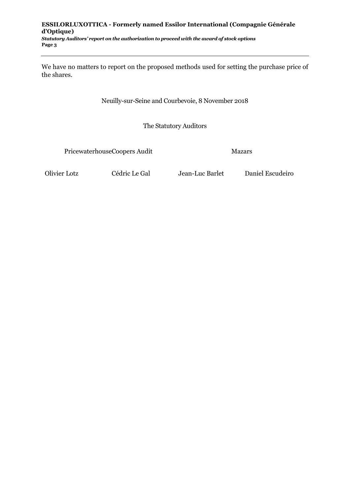#### **ESSILORLUXOTTICA - Formerly named Essilor International (Compagnie Générale d'Optique)** *Statutory Auditors' report on the authorization to proceed with the award of stock options*

**Page 3**

We have no matters to report on the proposed methods used for setting the purchase price of the shares.

Neuilly-sur-Seine and Courbevoie, 8 November 2018

The Statutory Auditors

PricewaterhouseCoopers Audit Mazars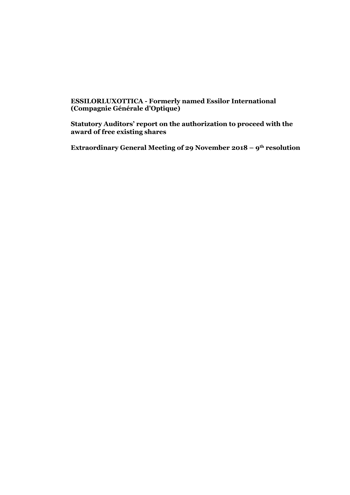### **ESSILORLUXOTTICA - Formerly named Essilor International (Compagnie Générale d'Optique)**

**Statutory Auditors' report on the authorization to proceed with the award of free existing shares**

**Extraordinary General Meeting of 29 November 2018 – 9th resolution**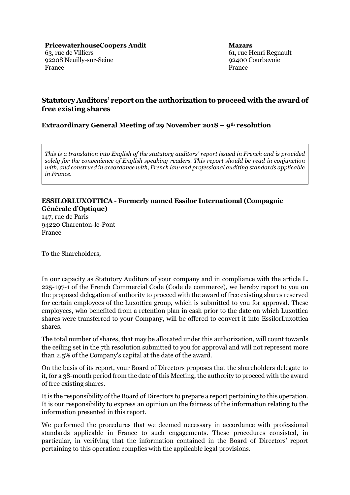61, rue Henri Regnault 92400 Courbevoie France

# **Statutory Auditors' report on the authorization to proceed with the award of free existing shares**

## **Extraordinary General Meeting of 29 November 2018 – 9th resolution**

*This is a translation into English of the statutory auditors' report issued in French and is provided solely for the convenience of English speaking readers. This report should be read in conjunction with, and construed in accordance with, French law and professional auditing standards applicable in France.*

# **ESSILORLUXOTTICA - Formerly named Essilor International (Compagnie Générale d'Optique)**

147, rue de Paris 94220 Charenton-le-Pont France

To the Shareholders,

In our capacity as Statutory Auditors of your company and in compliance with the article L. 225-197-1 of the French Commercial Code (Code de commerce), we hereby report to you on the proposed delegation of authority to proceed with the award of free existing shares reserved for certain employees of the Luxottica group, which is submitted to you for approval. These employees, who benefited from a retention plan in cash prior to the date on which Luxottica shares were transferred to your Company, will be offered to convert it into EssilorLuxottica shares.

The total number of shares, that may be allocated under this authorization, will count towards the ceiling set in the 7th resolution submitted to you for approval and will not represent more than 2.5% of the Company's capital at the date of the award.

On the basis of its report, your Board of Directors proposes that the shareholders delegate to it, for a 38-month period from the date of this Meeting, the authority to proceed with the award of free existing shares.

It is the responsibility of the Board of Directors to prepare a report pertaining to this operation. It is our responsibility to express an opinion on the fairness of the information relating to the information presented in this report.

We performed the procedures that we deemed necessary in accordance with professional standards applicable in France to such engagements. These procedures consisted, in particular, in verifying that the information contained in the Board of Directors' report pertaining to this operation complies with the applicable legal provisions.